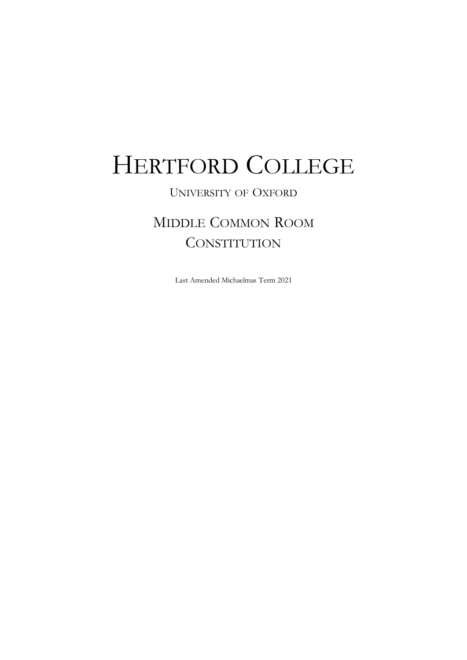# HERTFORD COLLEGE

## UNIVERSITY OF OXFORD

# MIDDLE COMMON ROOM **CONSTITUTION**

Last Amended Michaelmas Term 2021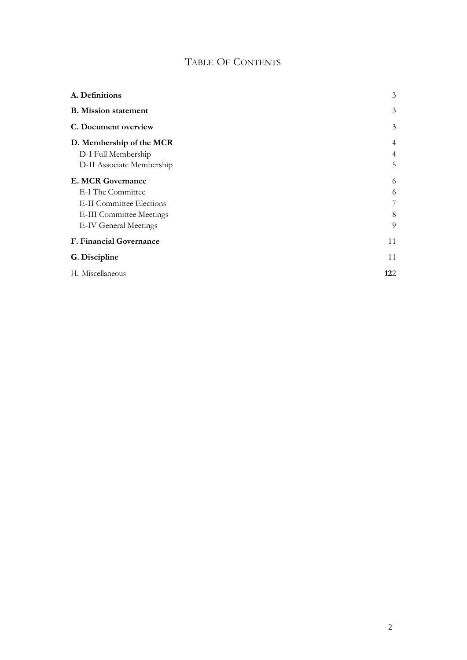## TABLE OF CONTENTS

| A. Definitions                  | 3   |
|---------------------------------|-----|
| <b>B.</b> Mission statement     | 3   |
| C. Document overview            | 3   |
| D. Membership of the MCR        | 4   |
| D-I Full Membership             | 4   |
| D-II Associate Membership       | 5   |
| <b>E. MCR Governance</b>        | 6   |
| E-I The Committee               | 6   |
| <b>E-II Committee Elections</b> | 7   |
| <b>E-III Committee Meetings</b> | 8   |
| <b>E-IV General Meetings</b>    | 9   |
| <b>F. Financial Governance</b>  | 11  |
| G. Discipline                   | 11  |
| H. Miscellaneous                | 122 |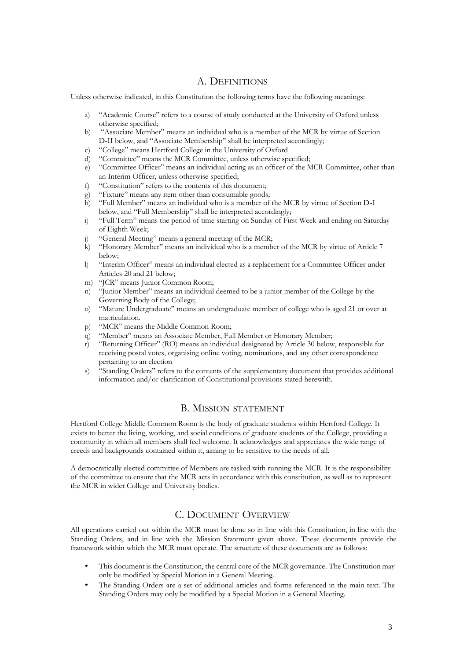#### A. DEFINITIONS

Unless otherwise indicated, in this Constitution the following terms have the following meanings:

- a) "Academic Course" refers to a course of study conducted at the University of Oxford unless otherwise specified;
- b) "Associate Member" means an individual who is a member of the MCR by virtue of Section D-II below, and "Associate Membership" shall be interpreted accordingly;
- c) "College" means Hertford College in the University of Oxford
- d) "Committee" means the MCR Committee, unless otherwise specified;
- e) "Committee Officer" means an individual acting as an officer of the MCR Committee, other than an Interim Officer, unless otherwise specified;
- f) "Constitution" refers to the contents of this document;
- "Fixture" means any item other than consumable goods;
- h) "Full Member" means an individual who is a member of the MCR by virtue of Section D-I below, and "Full Membership" shall be interpreted accordingly;
- i) "Full Term" means the period of time starting on Sunday of First Week and ending on Saturday of Eighth Week;
- j) "General Meeting" means a general meeting of the MCR;<br>k) "Honorary Member" means an individual who is a member
- "Honorary Member" means an individual who is a member of the MCR by virtue of Article 7 below;
- l) "Interim Officer" means an individual elected as a replacement for a Committee Officer under Articles 20 and 21 below;
- m) "JCR" means Junior Common Room;
- n) "Junior Member" means an individual deemed to be a junior member of the College by the Governing Body of the College;
- o) "Mature Undergraduate" means an undergraduate member of college who is aged 21 or over at matriculation.
- p) "MCR" means the Middle Common Room;
- q) "Member" means an Associate Member, Full Member or Honorary Member;
- r) "Returning Officer" (RO) means an individual designated by Article 30 below, responsible for receiving postal votes, organising online voting, nominations, and any other correspondence pertaining to an election
- s) "Standing Orders" refers to the contents of the supplementary document that provides additional information and/or clarification of Constitutional provisions stated herewith.

#### B. MISSION STATEMENT

Hertford College Middle Common Room is the body of graduate students within Hertford College. It exists to better the living, working, and social conditions of graduate students of the College, providing a community in which all members shall feel welcome. It acknowledges and appreciates the wide range of creeds and backgrounds contained within it, aiming to be sensitive to the needs of all.

A democratically elected committee of Members are tasked with running the MCR. It is the responsibility of the committee to ensure that the MCR acts in accordance with this constitution, as well as to represent the MCR in wider College and University bodies.

#### C. DOCUMENT OVERVIEW

All operations carried out within the MCR must be done so in line with this Constitution, in line with the Standing Orders, and in line with the Mission Statement given above. These documents provide the framework within which the MCR must operate. The structure of these documents are as follows:

- This document is the Constitution, the central core of the MCR governance. The Constitution may only be modified by Special Motion in a General Meeting.
- The Standing Orders are a set of additional articles and forms referenced in the main text. The Standing Orders may only be modified by a Special Motion in a General Meeting.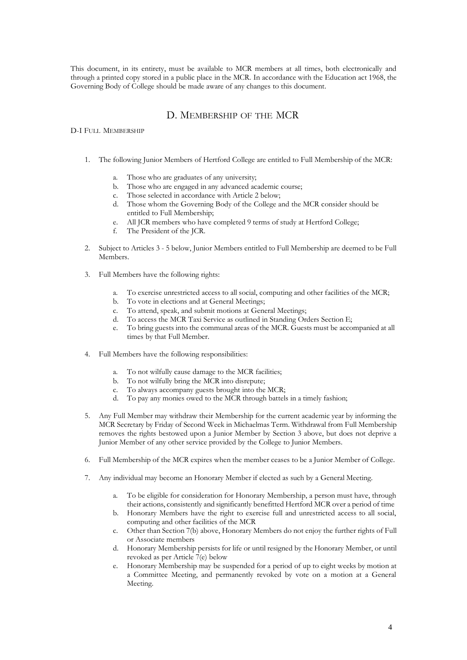This document, in its entirety, must be available to MCR members at all times, both electronically and through a printed copy stored in a public place in the MCR. In accordance with the Education act 1968, the Governing Body of College should be made aware of any changes to this document.

#### D. MEMBERSHIP OF THE MCR

#### D-I FULL MEMBERSHIP

- 1. The following Junior Members of Hertford College are entitled to Full Membership of the MCR:
	- a. Those who are graduates of any university;
	- b. Those who are engaged in any advanced academic course;
	- c. Those selected in accordance with Article 2 below;
	- d. Those whom the Governing Body of the College and the MCR consider should be entitled to Full Membership;
	- e. All JCR members who have completed 9 terms of study at Hertford College;
	- f. The President of the JCR.
- 2. Subject to Articles 3 5 below, Junior Members entitled to Full Membership are deemed to be Full Members.
- 3. Full Members have the following rights:
	- To exercise unrestricted access to all social, computing and other facilities of the MCR;
	- b. To vote in elections and at General Meetings;
	- c. To attend, speak, and submit motions at General Meetings;
	- d. To access the MCR Taxi Service as outlined in Standing Orders Section E;
	- e. To bring guests into the communal areas of the MCR. Guests must be accompanied at all times by that Full Member.
- 4. Full Members have the following responsibilities:
	- a. To not wilfully cause damage to the MCR facilities;
	- b. To not wilfully bring the MCR into disrepute;
	- c. To always accompany guests brought into the MCR;
	- d. To pay any monies owed to the MCR through battels in a timely fashion;
- 5. Any Full Member may withdraw their Membership for the current academic year by informing the MCR Secretary by Friday of Second Week in Michaelmas Term. Withdrawal from Full Membership removes the rights bestowed upon a Junior Member by Section 3 above, but does not deprive a Junior Member of any other service provided by the College to Junior Members.
- 6. Full Membership of the MCR expires when the member ceases to be a Junior Member of College.
- 7. Any individual may become an Honorary Member if elected as such by a General Meeting.
	- a. To be eligible for consideration for Honorary Membership, a person must have, through their actions, consistently and significantly benefitted Hertford MCR over a period of time
	- b. Honorary Members have the right to exercise full and unrestricted access to all social, computing and other facilities of the MCR
	- c. Other than Section 7(b) above, Honorary Members do not enjoy the further rights of Full or Associate members
	- d. Honorary Membership persists for life or until resigned by the Honorary Member, or until revoked as per Article 7(e) below
	- e. Honorary Membership may be suspended for a period of up to eight weeks by motion at a Committee Meeting, and permanently revoked by vote on a motion at a General Meeting.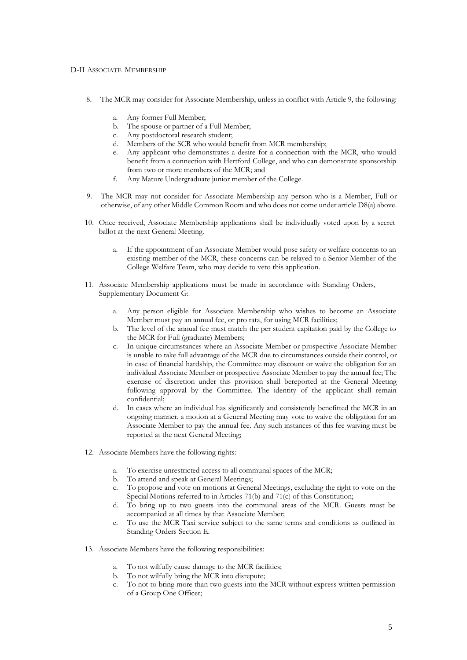#### D-II ASSOCIATE MEMBERSHIP

- 8. The MCR may consider for Associate Membership, unless in conflict with Article 9, the following:
	- a. Any former Full Member;
	- b. The spouse or partner of a Full Member;
	- c. Any postdoctoral research student;
	- d. Members of the SCR who would benefit from MCR membership;
	- e. Any applicant who demonstrates a desire for a connection with the MCR, who would benefit from a connection with Hertford College, and who can demonstrate sponsorship from two or more members of the MCR; and
	- f. Any Mature Undergraduate junior member of the College.
- 9. The MCR may not consider for Associate Membership any person who is a Member, Full or otherwise, of any other Middle Common Room and who does not come under article D8(a) above.
- 10. Once received, Associate Membership applications shall be individually voted upon by a secret ballot at the next General Meeting.
	- a. If the appointment of an Associate Member would pose safety or welfare concerns to an existing member of the MCR, these concerns can be relayed to a Senior Member of the College Welfare Team, who may decide to veto this application.
- 11. Associate Membership applications must be made in accordance with Standing Orders, Supplementary Document G:
	- a. Any person eligible for Associate Membership who wishes to become an Associate Member must pay an annual fee, or pro rata, for using MCR facilities;
	- b. The level of the annual fee must match the per student capitation paid by the College to the MCR for Full (graduate) Members;
	- c. In unique circumstances where an Associate Member or prospective Associate Member is unable to take full advantage of the MCR due to circumstances outside their control, or in case of financial hardship, the Committee may discount or waive the obligation for an individual Associate Member or prospective Associate Member to pay the annual fee; The exercise of discretion under this provision shall bereported at the General Meeting following approval by the Committee. The identity of the applicant shall remain confidential;
	- d. In cases where an individual has significantly and consistently benefitted the MCR in an ongoing manner, a motion at a General Meeting may vote to waive the obligation for an Associate Member to pay the annual fee. Any such instances of this fee waiving must be reported at the next General Meeting;
- 12. Associate Members have the following rights:
	- a. To exercise unrestricted access to all communal spaces of the MCR;
	- To attend and speak at General Meetings;
	- c. To propose and vote on motions at General Meetings, excluding the right to vote on the Special Motions referred to in Articles 71(b) and 71(c) of this Constitution;
	- d. To bring up to two guests into the communal areas of the MCR. Guests must be accompanied at all times by that Associate Member;
	- e. To use the MCR Taxi service subject to the same terms and conditions as outlined in Standing Orders Section E.
- 13. Associate Members have the following responsibilities:
	- a. To not wilfully cause damage to the MCR facilities;
	- To not wilfully bring the MCR into disrepute;
	- c. To not to bring more than two guests into the MCR without express written permission of a Group One Officer;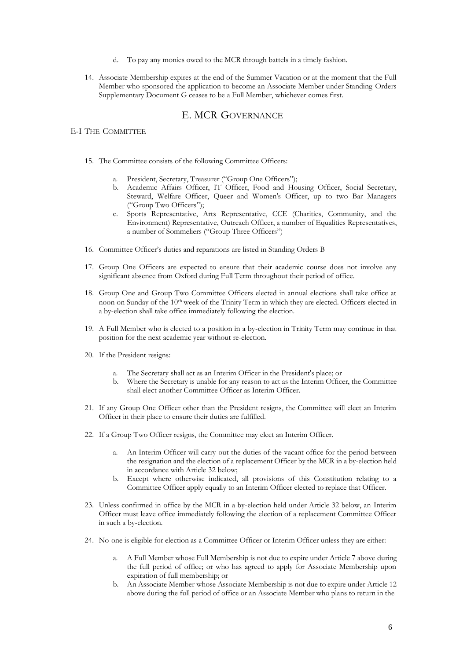- d. To pay any monies owed to the MCR through battels in a timely fashion.
- 14. Associate Membership expires at the end of the Summer Vacation or at the moment that the Full Member who sponsored the application to become an Associate Member under Standing Orders Supplementary Document G ceases to be a Full Member, whichever comes first.

#### E. MCR GOVERNANCE

#### E-I THE COMMITTEE

- 15. The Committee consists of the following Committee Officers:
	- a. President, Secretary, Treasurer ("Group One Officers");
	- b. Academic Affairs Officer, IT Officer, Food and Housing Officer, Social Secretary, Steward, Welfare Officer, Queer and Women's Officer, up to two Bar Managers ("Group Two Officers");
	- c. Sports Representative, Arts Representative, CCE (Charities, Community, and the Environment) Representative, Outreach Officer, a number of Equalities Representatives, a number of Sommeliers ("Group Three Officers")
- 16. Committee Officer's duties and reparations are listed in Standing Orders B
- 17. Group One Officers are expected to ensure that their academic course does not involve any significant absence from Oxford during Full Term throughout their period of office.
- 18. Group One and Group Two Committee Officers elected in annual elections shall take office at noon on Sunday of the 10<sup>th</sup> week of the Trinity Term in which they are elected. Officers elected in a by-election shall take office immediately following the election.
- 19. A Full Member who is elected to a position in a by-election in Trinity Term may continue in that position for the next academic year without re-election.
- 20. If the President resigns:
	- a. The Secretary shall act as an Interim Officer in the President's place; or
	- b. Where the Secretary is unable for any reason to act as the Interim Officer, the Committee shall elect another Committee Officer as Interim Officer.
- 21. If any Group One Officer other than the President resigns, the Committee will elect an Interim Officer in their place to ensure their duties are fulfilled.
- 22. If a Group Two Officer resigns, the Committee may elect an Interim Officer.
	- a. An Interim Officer will carry out the duties of the vacant office for the period between the resignation and the election of a replacement Officer by the MCR in a by-election held in accordance with Article 32 below;
	- b. Except where otherwise indicated, all provisions of this Constitution relating to a Committee Officer apply equally to an Interim Officer elected to replace that Officer.
- 23. Unless confirmed in office by the MCR in a by-election held under Article 32 below, an Interim Officer must leave office immediately following the election of a replacement Committee Officer in such a by-election.
- 24. No-one is eligible for election as a Committee Officer or Interim Officer unless they are either:
	- a. A Full Member whose Full Membership is not due to expire under Article 7 above during the full period of office; or who has agreed to apply for Associate Membership upon expiration of full membership; or
	- b. An Associate Member whose Associate Membership is not due to expire under Article 12 above during the full period of office or an Associate Member who plans to return in the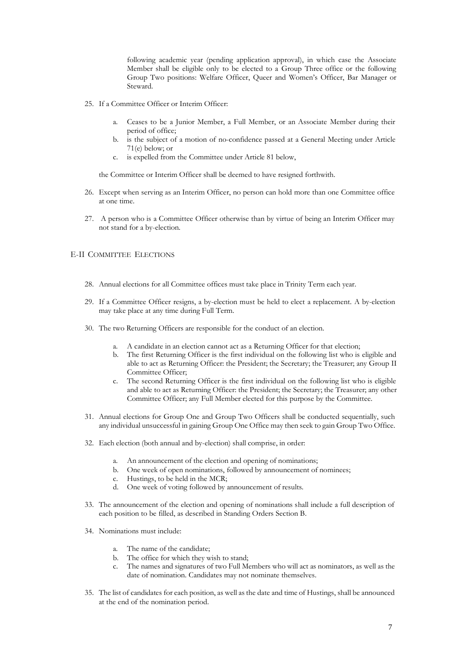following academic year (pending application approval), in which case the Associate Member shall be eligible only to be elected to a Group Three office or the following Group Two positions: Welfare Officer, Queer and Women's Officer, Bar Manager or Steward.

- 25. If a Committee Officer or Interim Officer:
	- a. Ceases to be a Junior Member, a Full Member, or an Associate Member during their period of office;
	- b. is the subject of a motion of no-confidence passed at a General Meeting under Article 71(e) below; or
	- c. is expelled from the Committee under Article 81 below,

the Committee or Interim Officer shall be deemed to have resigned forthwith.

- 26. Except when serving as an Interim Officer, no person can hold more than one Committee office at one time.
- 27. A person who is a Committee Officer otherwise than by virtue of being an Interim Officer may not stand for a by-election.

#### E-II COMMITTEE ELECTIONS

- 28. Annual elections for all Committee offices must take place in Trinity Term each year.
- 29. If a Committee Officer resigns, a by-election must be held to elect a replacement. A by-election may take place at any time during Full Term.
- 30. The two Returning Officers are responsible for the conduct of an election.
	- a. A candidate in an election cannot act as a Returning Officer for that election;
	- b. The first Returning Officer is the first individual on the following list who is eligible and able to act as Returning Officer: the President; the Secretary; the Treasurer; any Group II Committee Officer;
	- c. The second Returning Officer is the first individual on the following list who is eligible and able to act as Returning Officer: the President; the Secretary; the Treasurer; any other Committee Officer; any Full Member elected for this purpose by the Committee.
- 31. Annual elections for Group One and Group Two Officers shall be conducted sequentially, such any individual unsuccessful in gaining Group One Office may then seek to gain Group Two Office.
- 32. Each election (both annual and by-election) shall comprise, in order:
	- a. An announcement of the election and opening of nominations;
	- b. One week of open nominations, followed by announcement of nominees;
	- c. Hustings, to be held in the MCR;
	- d. One week of voting followed by announcement of results.
- 33. The announcement of the election and opening of nominations shall include a full description of each position to be filled, as described in Standing Orders Section B.
- 34. Nominations must include:
	- a. The name of the candidate;
	- b. The office for which they wish to stand;<br>c. The names and signatures of two Full M
	- The names and signatures of two Full Members who will act as nominators, as well as the date of nomination. Candidates may not nominate themselves.
- 35. The list of candidates for each position, as well as the date and time of Hustings, shall be announced at the end of the nomination period.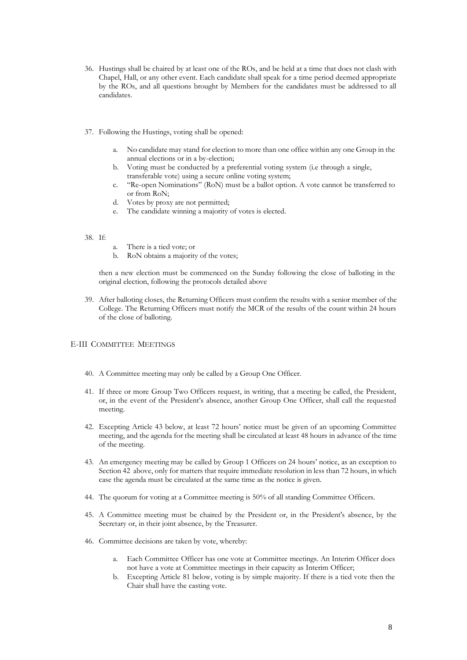- 36. Hustings shall be chaired by at least one of the ROs, and be held at a time that does not clash with Chapel, Hall, or any other event. Each candidate shall speak for a time period deemed appropriate by the ROs, and all questions brought by Members for the candidates must be addressed to all candidates.
- 37. Following the Hustings, voting shall be opened:
	- a. No candidate may stand for election to more than one office within any one Group in the annual elections or in a by-election;
	- b. Voting must be conducted by a preferential voting system (i.e through a single, transferable vote) using a secure online voting system;
	- c. "Re-open Nominations" (RoN) must be a ballot option. A vote cannot be transferred to or from RoN;
	- d. Votes by proxy are not permitted;
	- e. The candidate winning a majority of votes is elected.

#### 38. If:

- a. There is a tied vote; or
- b. RoN obtains a majority of the votes;

then a new election must be commenced on the Sunday following the close of balloting in the original election, following the protocols detailed above

39. After balloting closes, the Returning Officers must confirm the results with a senior member of the College. The Returning Officers must notify the MCR of the results of the count within 24 hours of the close of balloting.

#### E-III COMMITTEE MEETINGS

- 40. A Committee meeting may only be called by a Group One Officer.
- 41. If three or more Group Two Officers request, in writing, that a meeting be called, the President, or, in the event of the President's absence, another Group One Officer, shall call the requested meeting.
- 42. Excepting Article 43 below, at least 72 hours' notice must be given of an upcoming Committee meeting, and the agenda for the meeting shall be circulated at least 48 hours in advance of the time of the meeting.
- 43. An emergency meeting may be called by Group 1 Officers on 24 hours' notice, as an exception to Section 42 above, only for matters that require immediate resolution in less than 72 hours, in which case the agenda must be circulated at the same time as the notice is given.
- 44. The quorum for voting at a Committee meeting is 50% of all standing Committee Officers.
- 45. A Committee meeting must be chaired by the President or, in the President's absence, by the Secretary or, in their joint absence, by the Treasurer.
- 46. Committee decisions are taken by vote, whereby:
	- a. Each Committee Officer has one vote at Committee meetings. An Interim Officer does not have a vote at Committee meetings in their capacity as Interim Officer;
	- b. Excepting Article 81 below, voting is by simple majority. If there is a tied vote then the Chair shall have the casting vote.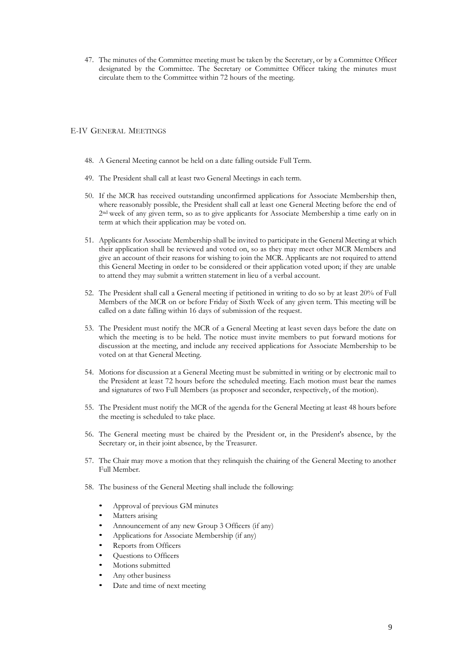47. The minutes of the Committee meeting must be taken by the Secretary, or by a Committee Officer designated by the Committee. The Secretary or Committee Officer taking the minutes must circulate them to the Committee within 72 hours of the meeting.

#### E-IV GENERAL MEETINGS

- 48. A General Meeting cannot be held on a date falling outside Full Term.
- 49. The President shall call at least two General Meetings in each term.
- 50. If the MCR has received outstanding unconfirmed applications for Associate Membership then, where reasonably possible, the President shall call at least one General Meeting before the end of 2 nd week of any given term, so as to give applicants for Associate Membership a time early on in term at which their application may be voted on.
- 51. Applicants for Associate Membership shall be invited to participate in the General Meeting at which their application shall be reviewed and voted on, so as they may meet other MCR Members and give an account of their reasons for wishing to join the MCR. Applicants are not required to attend this General Meeting in order to be considered or their application voted upon; if they are unable to attend they may submit a written statement in lieu of a verbal account.
- 52. The President shall call a General meeting if petitioned in writing to do so by at least 20% of Full Members of the MCR on or before Friday of Sixth Week of any given term. This meeting will be called on a date falling within 16 days of submission of the request.
- 53. The President must notify the MCR of a General Meeting at least seven days before the date on which the meeting is to be held. The notice must invite members to put forward motions for discussion at the meeting, and include any received applications for Associate Membership to be voted on at that General Meeting.
- 54. Motions for discussion at a General Meeting must be submitted in writing or by electronic mail to the President at least 72 hours before the scheduled meeting. Each motion must bear the names and signatures of two Full Members (as proposer and seconder, respectively, of the motion).
- 55. The President must notify the MCR of the agenda for the General Meeting at least 48 hours before the meeting is scheduled to take place.
- 56. The General meeting must be chaired by the President or, in the President's absence, by the Secretary or, in their joint absence, by the Treasurer.
- 57. The Chair may move a motion that they relinquish the chairing of the General Meeting to another Full Member.
- 58. The business of the General Meeting shall include the following:
	- Approval of previous GM minutes
	- Matters arising
	- Announcement of any new Group 3 Officers (if any)
	- Applications for Associate Membership (if any)
	- Reports from Officers
	- Questions to Officers
	- Motions submitted
	- Any other business
	- Date and time of next meeting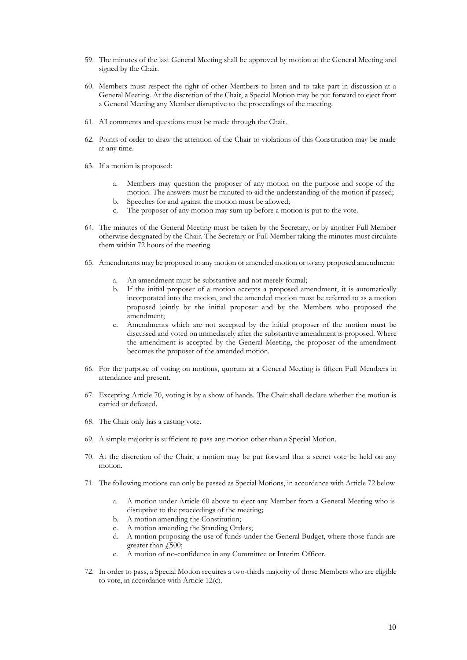- 59. The minutes of the last General Meeting shall be approved by motion at the General Meeting and signed by the Chair.
- 60. Members must respect the right of other Members to listen and to take part in discussion at a General Meeting. At the discretion of the Chair, a Special Motion may be put forward to eject from a General Meeting any Member disruptive to the proceedings of the meeting.
- 61. All comments and questions must be made through the Chair.
- 62. Points of order to draw the attention of the Chair to violations of this Constitution may be made at any time.
- 63. If a motion is proposed:
	- a. Members may question the proposer of any motion on the purpose and scope of the motion. The answers must be minuted to aid the understanding of the motion if passed;
	- b. Speeches for and against the motion must be allowed;
	- c. The proposer of any motion may sum up before a motion is put to the vote.
- 64. The minutes of the General Meeting must be taken by the Secretary, or by another Full Member otherwise designated by the Chair. The Secretary or Full Member taking the minutes must circulate them within 72 hours of the meeting.
- 65. Amendments may be proposed to any motion or amended motion or to any proposed amendment:
	- a. An amendment must be substantive and not merely formal;
	- b. If the initial proposer of a motion accepts a proposed amendment, it is automatically incorporated into the motion, and the amended motion must be referred to as a motion proposed jointly by the initial proposer and by the Members who proposed the amendment;
	- c. Amendments which are not accepted by the initial proposer of the motion must be discussed and voted on immediately after the substantive amendment is proposed. Where the amendment is accepted by the General Meeting, the proposer of the amendment becomes the proposer of the amended motion.
- 66. For the purpose of voting on motions, quorum at a General Meeting is fifteen Full Members in attendance and present.
- 67. Excepting Article 70, voting is by a show of hands. The Chair shall declare whether the motion is carried or defeated.
- 68. The Chair only has a casting vote.
- 69. A simple majority is sufficient to pass any motion other than a Special Motion.
- 70. At the discretion of the Chair, a motion may be put forward that a secret vote be held on any motion.
- 71. The following motions can only be passed as Special Motions, in accordance with Article 72 below
	- a. A motion under Article 60 above to eject any Member from a General Meeting who is disruptive to the proceedings of the meeting;
	- b. A motion amending the Constitution;
	- c. A motion amending the Standing Orders;
	- d. A motion proposing the use of funds under the General Budget, where those funds are greater than  $\sqrt{500}$ ;
	- e. A motion of no-confidence in any Committee or Interim Officer.
- 72. In order to pass, a Special Motion requires a two-thirds majority of those Members who are eligible to vote, in accordance with Article 12(c).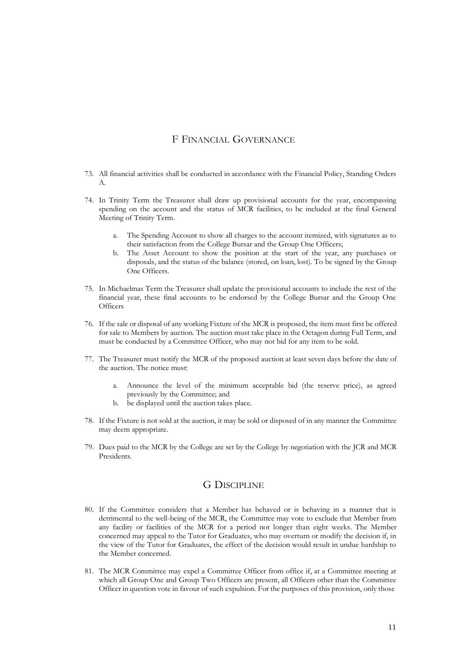#### F FINANCIAL GOVERNANCE

- 73. All financial activities shall be conducted in accordance with the Financial Policy, Standing Orders A.
- 74. In Trinity Term the Treasurer shall draw up provisional accounts for the year, encompassing spending on the account and the status of MCR facilities, to be included at the final General Meeting of Trinity Term.
	- a. The Spending Account to show all charges to the account itemized, with signatures as to their satisfaction from the College Bursar and the Group One Officers;
	- The Asset Account to show the position at the start of the year, any purchases or disposals, and the status of the balance (stored, on loan, lost). To be signed by the Group One Officers.
- 75. In Michaelmas Term the Treasurer shall update the provisional accounts to include the rest of the financial year, these final accounts to be endorsed by the College Bursar and the Group One **Officers**
- 76. If the sale or disposal of any working Fixture of the MCR is proposed, the item must first be offered for sale to Members by auction. The auction must take place in the Octagon during Full Term, and must be conducted by a Committee Officer, who may not bid for any item to be sold.
- 77. The Treasurer must notify the MCR of the proposed auction at least seven days before the date of the auction. The notice must:
	- a. Announce the level of the minimum acceptable bid (the reserve price), as agreed previously by the Committee; and
	- b. be displayed until the auction takes place.
- 78. If the Fixture is not sold at the auction, it may be sold or disposed of in any manner the Committee may deem appropriate.
- 79. Dues paid to the MCR by the College are set by the College by negotiation with the JCR and MCR Presidents.

#### G DISCIPLINE

- 80. If the Committee considers that a Member has behaved or is behaving in a manner that is detrimental to the well-being of the MCR, the Committee may vote to exclude that Member from any facility or facilities of the MCR for a period not longer than eight weeks. The Member concerned may appeal to the Tutor for Graduates, who may overturn or modify the decision if, in the view of the Tutor for Graduates, the effect of the decision would result in undue hardship to the Member concerned.
- 81. The MCR Committee may expel a Committee Officer from office if, at a Committee meeting at which all Group One and Group Two Officers are present, all Officers other than the Committee Officer in question vote in favour of such expulsion. For the purposes of this provision, only those